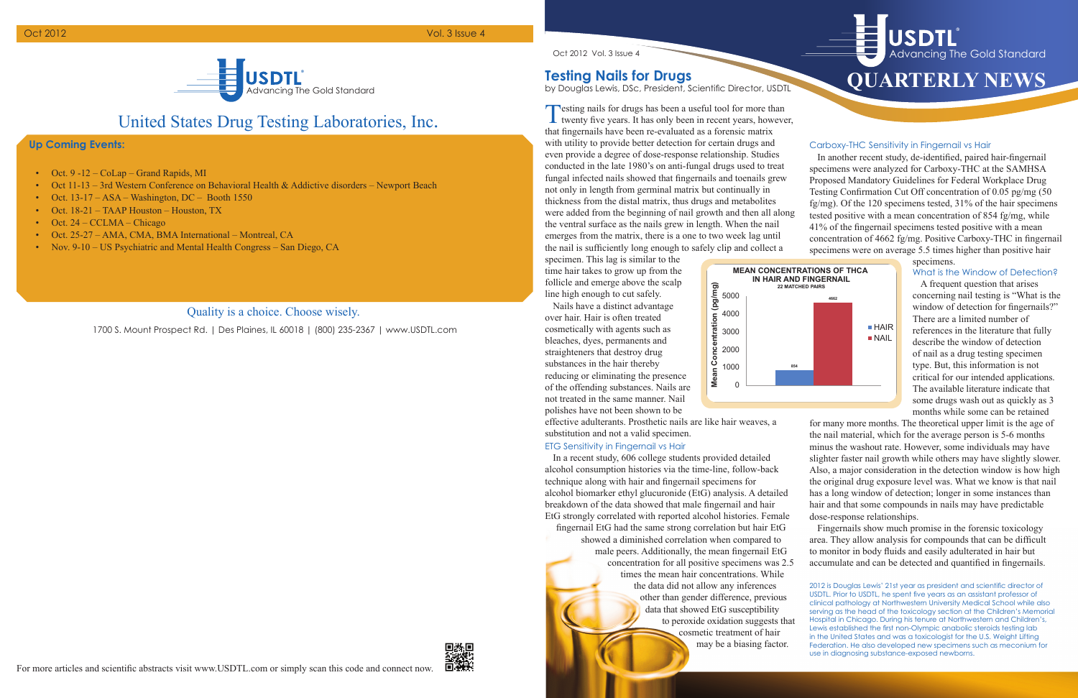## United States Drug Testing Laboratories, Inc.

### **Up Coming Events:**

1700 S. Mount Prospect Rd. | Des Plaines, IL 60018 | (800) 235-2367 | www.USDTL.com



### Quality is a choice. Choose wisely.

# **Quarterly News** Advancing The Gold Standard



Advancing The Gold Standard

**®**

Oct 2012 Vol. 3 Issue 4

- Oct. 9 -12 CoLap Grand Rapids, MI
- Oct 11-13 3rd Western Conference on Behavioral Health & Addictive disorders Newport Beach
- Oct. 13-17 ASA Washington, DC Booth 1550
- Oct. 18-21 TAAP Houston Houston, TX
- Oct.  $24 CCLMA Chicago$
- Oct. 25-27 AMA, CMA, BMA International Montreal, CA
- Nov. 9-10 US Psychiatric and Mental Health Congress San Diego, CA

### Oct 2012 Vol. 3 Issue 4

### **Testing Nails for Drugs**

by Douglas Lewis, DSc, President, Scientific Director, USDTL

Testing nails for drugs has been a useful tool for more than twenty five years. It has only been in recent years, however, that fingernails have been re-evaluated as a forensic matrix with utility to provide better detection for certain drugs and even provide a degree of dose-response relationship. Studies conducted in the late 1980's on anti-fungal drugs used to treat fungal infected nails showed that fingernails and toenails grew not only in length from germinal matrix but continually in thickness from the distal matrix, thus drugs and metabolites were added from the beginning of nail growth and then all along the ventral surface as the nails grew in length. When the nail emerges from the matrix, there is a one to two week lag until the nail is sufficiently long enough to safely clip and collect a

specimen. This lag is similar to the time hair takes to grow up from the follicle and emerge above the scalp line high enough to cut safely.

#### specimens. What is the Window of Detection?

Nails have a distinct advantage over hair. Hair is often treated cosmetically with agents such as bleaches, dyes, permanents and straighteners that destroy drug substances in the hair thereby reducing or eliminating the presence of the offending substances. Nails are not treated in the same manner. Nail polishes have not been shown to be

effective adulterants. Prosthetic nails are like hair weaves, a substitution and not a valid specimen.

### ETG Sensitivity in Fingernail vs Hair

In a recent study, 606 college students provided detailed alcohol consumption histories via the time-line, follow-back technique along with hair and fingernail specimens for alcohol biomarker ethyl glucuronide (EtG) analysis. A detailed breakdown of the data showed that male fingernail and hair EtG strongly correlated with reported alcohol histories. Female fingernail EtG had the same strong correlation but hair EtG showed a diminished correlation when compared to male peers. Additionally, the mean fingernail EtG concentration for all positive specimens was 2.5 times the mean hair concentrations. While the data did not allow any inferences other than gender difference, previous data that showed EtG susceptibility to peroxide oxidation suggests that cosmetic treatment of hair may be a biasing factor.

### Carboxy-THC Sensitivity in Fingernail vs Hair

In another recent study, de-identified, paired hair-fingernail specimens were analyzed for Carboxy-THC at the SAMHSA Proposed Mandatory Guidelines for Federal Workplace Drug Testing Confirmation Cut Off concentration of 0.05 pg/mg (50 fg/mg). Of the 120 specimens tested, 31% of the hair specimens tested positive with a mean concentration of 854 fg/mg, while 41% of the fingernail specimens tested positive with a mean concentration of 4662 fg/mg. Positive Carboxy-THC in fingernail specimens were on average 5.5 times higher than positive hair

> A frequent question that arises concerning nail testing is "What is the window of detection for fingernails?" There are a limited number of references in the literature that fully describe the window of detection of nail as a drug testing specimen type. But, this information is not critical for our intended applications. The available literature indicate that some drugs wash out as quickly as 3 months while some can be retained

for many more months. The theoretical upper limit is the age of the nail material, which for the average person is 5-6 months minus the washout rate. However, some individuals may have slighter faster nail growth while others may have slightly slower. Also, a major consideration in the detection window is how high the original drug exposure level was. What we know is that nail has a long window of detection; longer in some instances than hair and that some compounds in nails may have predictable dose-response relationships.

Fingernails show much promise in the forensic toxicology area. They allow analysis for compounds that can be difficult to monitor in body fluids and easily adulterated in hair but accumulate and can be detected and quantified in fingernails.

2012 is Douglas Lewis' 21st year as president and scientific director of USDTL. Prior to USDTL, he spent five years as an assistant professor of clinical pathology at Northwestern University Medical School while also serving as the head of the toxicology section at the Children's Memorial Hospital in Chicago. During his tenure at Northwestern and Children's, Lewis established the first non-Olympic anabolic steroids testing lab in the United States and was a toxicologist for the U.S. Weight Lifting Federation. He also developed new specimens such as meconium for use in diagnosing substance-exposed newborns.